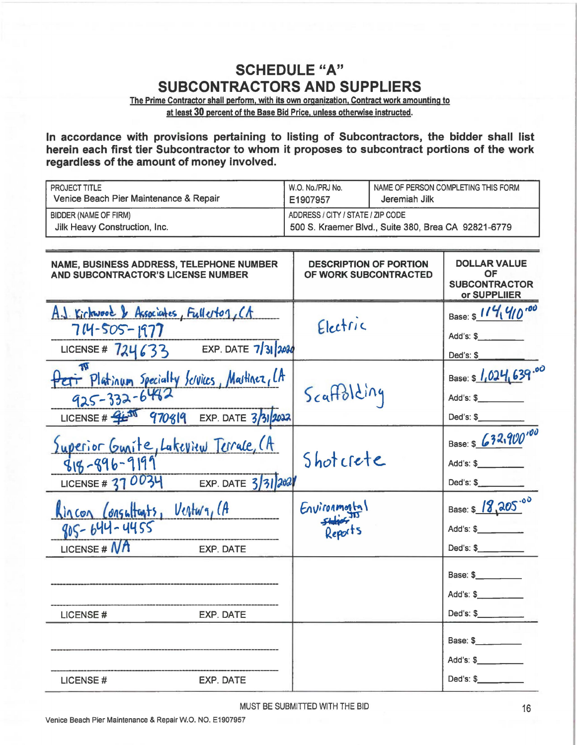## **SCHEDULE "A" SUBCONTRACTORS AND SUPPLIERS**

The Prime Contractor shall perform, with its own organization, Contract work amounting to at least 30 percent of the Base Bid Price, unless otherwise instructed.

In accordance with provisions pertaining to listing of Subcontractors, the bidder shall list herein each first tier Subcontractor to whom it proposes to subcontract portions of the work regardless of the amount of money involved.

| PROJECT TITLE<br>Venice Beach Pier Maintenance & Repair                                                                      | W.O. No./PRJ No.<br>E1907957 | NAME OF PERSON COMPLETING THIS FORM<br>Jeremiah Jilk                                     |                                                |  |
|------------------------------------------------------------------------------------------------------------------------------|------------------------------|------------------------------------------------------------------------------------------|------------------------------------------------|--|
| <b>BIDDER (NAME OF FIRM)</b><br>Jilk Heavy Construction, Inc.                                                                |                              | ADDRESS / CITY / STATE / ZIP CODE<br>500 S. Kraemer Blvd., Suite 380, Brea CA 92821-6779 |                                                |  |
| NAME, BUSINESS ADDRESS, TELEPHONE NUMBER<br>AND SUBCONTRACTOR'S LICENSE NUMBER                                               |                              | <b>DESCRIPTION OF PORTION</b><br>OF WORK SUBCONTRACTED                                   |                                                |  |
| A.J. Kickwood & Associates, Fullerton, CA<br>714-505-1977<br>LICENSE # $724633$ EXP. DATE $7/31$ 2030                        | Electric                     |                                                                                          | Base: \$ 114, 410'00<br>Add's: \$<br>Ded's: \$ |  |
| Petr Platinum Specially Services, Martinez, LA<br>$925 - 332 - 6492$<br>LICENSE # $41\frac{1}{2}$ 970819 EXP. DATE 3/31/2022 | Scaffolding                  |                                                                                          | Base: \$ 1,024,639.00<br>Ded's: \$             |  |
| Superior Gunite, Lakeview Terrale, (A<br>$818 - 896 - 9199$<br>LICENSE # 37 0034<br>EXP. DATE $3/3/202$                      | Shotcrete                    |                                                                                          | Base: \$ 632,900'00<br>Add's: \$<br>Ded's: \$  |  |
| Kincon Consultants, Ventura, CA<br>805-644-4455<br>LICENSE # $N$ <sup>A</sup><br><b>EXP. DATE</b>                            | Environmental<br>Reports     |                                                                                          | Base: \$ 18,205.00<br>Add's: \$<br>Ded's: \$   |  |
| LICENSE#<br>EXP. DATE                                                                                                        |                              |                                                                                          | Base: \$<br>Add's: \$<br>Ded's: \$             |  |
| EXP. DATE<br>LICENSE#                                                                                                        |                              |                                                                                          | Base: \$<br>Ded's: \$                          |  |